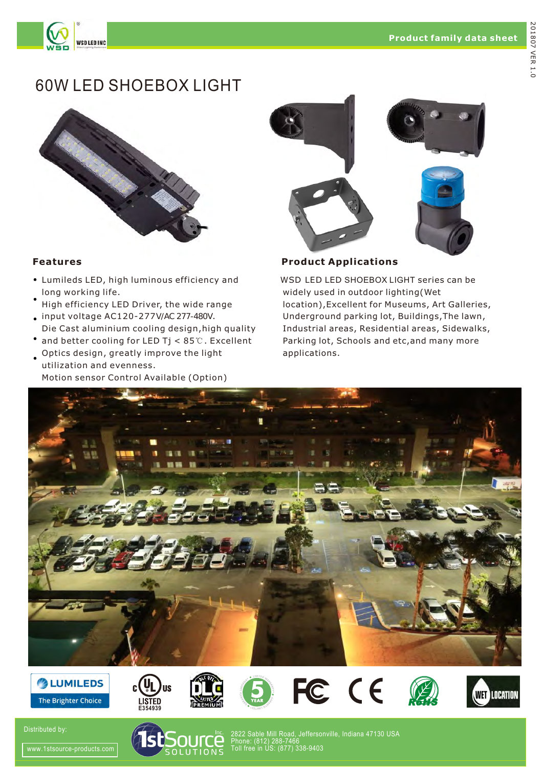

**WSD LED INC** 



- Lumileds LED, high luminous efficiency and long working life.
- High efficiency LED Driver, the wide range
- input voltage AC120-277V/AC 277-480V. Die Cast aluminium cooling design,high quality
- and better cooling for LED Tj < 85℃. Excellent • Optics design, greatly improve the light
- utilization and evenness. Motion sensor Control Available (Option)



**Features Product Applications** 

WSD LED LED SHOEBOX LIGHT series can be widely used in outdoor lighting(Wet location),Excellent for Museums, Art Galleries, Underground parking lot, Buildings,The lawn, Industrial areas, Residential areas, Sidewalks, Parking lot, Schools and etc,and many more applications.



















Distributed by:



2822 Sable Mill Road, Jeffersonville, Indiana 47130 USA Phone: (812) 288-7466 Toll free in US: (877) 338-9403